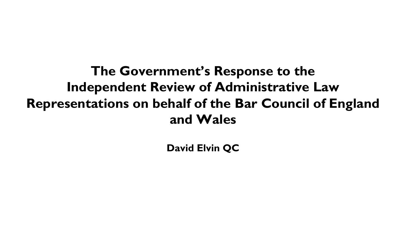# **The Government's Response to the Independent Review of Administrative Law Representations on behalf of the Bar Council of England and Wales**

**David Elvin QC**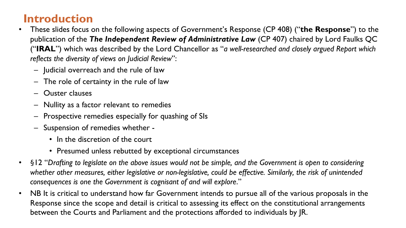### **Introduction**

- These slides focus on the following aspects of Government's Response (CP 408) ("**the Response**") to the publication of the *The Independent Review of Administrative Law* (CP 407) chaired by Lord Faulks QC ("**IRAL**") which was described by the Lord Chancellor as "*a well-researched and closely argued Report which reflects the diversity of views on Judicial Review*":
	- Judicial overreach and the rule of law
	- The role of certainty in the rule of law
	- Ouster clauses
	- Nullity as a factor relevant to remedies
	- Prospective remedies especially for quashing of SIs
	- Suspension of remedies whether
		- In the discretion of the court
		- Presumed unless rebutted by exceptional circumstances
- §12 "*Drafting to legislate on the above issues would not be simple, and the Government is open to considering whether other measures, either legislative or non-legislative, could be effective. Similarly, the risk of unintended consequences is one the Government is cognisant of and will explore*."
- NB It is critical to understand how far Government intends to pursue all of the various proposals in the Response since the scope and detail is critical to assessing its effect on the constitutional arrangements between the Courts and Parliament and the protections afforded to individuals by JR.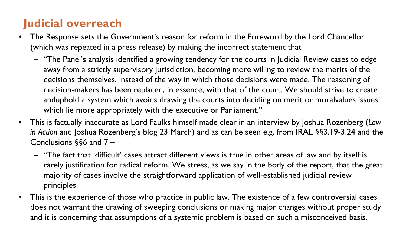- The Response sets the Government's reason for reform in the Foreword by the Lord Chancellor (which was repeated in a press release) by making the incorrect statement that
	- "The Panel's analysis identified a growing tendency for the courts in Judicial Review cases to edge away from a strictly supervisory jurisdiction, becoming more willing to review the merits of the decisions themselves, instead of the way in which those decisions were made. The reasoning of decision-makers has been replaced, in essence, with that of the court. We should strive to create anduphold a system which avoids drawing the courts into deciding on merit or moralvalues issues which lie more appropriately with the executive or Parliament."
- This is factually inaccurate as Lord Faulks himself made clear in an interview by Joshua Rozenberg (*Law in Action* and Joshua Rozenberg's blog 23 March) and as can be seen e.g. from IRAL §§3.19-3.24 and the Conclusions §§6 and 7 –
	- "The fact that 'difficult' cases attract different views is true in other areas of law and by itself is rarely justification for radical reform. We stress, as we say in the body of the report, that the great majority of cases involve the straightforward application of well-established judicial review principles.
- This is the experience of those who practice in public law. The existence of a few controversial cases does not warrant the drawing of sweeping conclusions or making major changes without proper study and it is concerning that assumptions of a systemic problem is based on such a misconceived basis.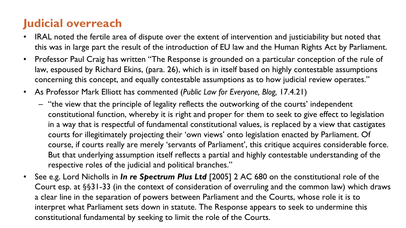- IRAL noted the fertile area of dispute over the extent of intervention and justiciability but noted that this was in large part the result of the introduction of EU law and the Human Rights Act by Parliament.
- Professor Paul Craig has written "The Response is grounded on a particular conception of the rule of law, espoused by Richard Ekins, (para. 26), which is in itself based on highly contestable assumptions concerning this concept, and equally contestable assumptions as to how judicial review operates."
- As Professor Mark Elliott has commented (*Public Law for Everyone, Blog,* 17.4.21)
	- "the view that the principle of legality reflects the outworking of the courts' independent constitutional function, whereby it is right and proper for them to seek to give effect to legislation in a way that is respectful of fundamental constitutional values, is replaced by a view that castigates courts for illegitimately projecting their 'own views' onto legislation enacted by Parliament. Of course, if courts really are merely 'servants of Parliament', this critique acquires considerable force. But that underlying assumption itself reflects a partial and highly contestable understanding of the respective roles of the judicial and political branches."
- See e.g. Lord Nicholls in *In re Spectrum Plus Ltd* [2005] 2 AC 680 on the constitutional role of the Court esp. at §§31-33 (in the context of consideration of overruling and the common law) which draws a clear line in the separation of powers between Parliament and the Courts, whose role it is to interpret what Parliament sets down in statute. The Response appears to seek to undermine this constitutional fundamental by seeking to limit the role of the Courts.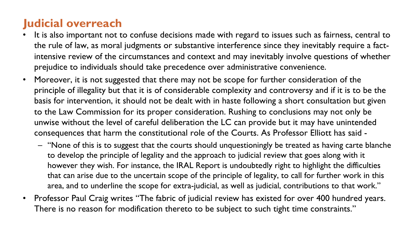- It is also important not to confuse decisions made with regard to issues such as fairness, central to the rule of law, as moral judgments or substantive interference since they inevitably require a factintensive review of the circumstances and context and may inevitably involve questions of whether prejudice to individuals should take precedence over administrative convenience.
- Moreover, it is not suggested that there may not be scope for further consideration of the principle of illegality but that it is of considerable complexity and controversy and if it is to be the basis for intervention, it should not be dealt with in haste following a short consultation but given to the Law Commission for its proper consideration. Rushing to conclusions may not only be unwise without the level of careful deliberation the LC can provide but it may have unintended consequences that harm the constitutional role of the Courts. As Professor Elliott has said -
	- "None of this is to suggest that the courts should unquestioningly be treated as having carte blanche to develop the principle of legality and the approach to judicial review that goes along with it however they wish. For instance, the IRAL Report is undoubtedly right to highlight the difficulties that can arise due to the uncertain scope of the principle of legality, to call for further work in this area, and to underline the scope for extra-judicial, as well as judicial, contributions to that work."
- Professor Paul Craig writes "The fabric of judicial review has existed for over 400 hundred years. There is no reason for modification thereto to be subject to such tight time constraints."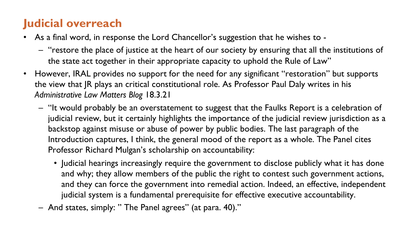- As a final word, in response the Lord Chancellor's suggestion that he wishes to
	- "restore the place of justice at the heart of our society by ensuring that all the institutions of the state act together in their appropriate capacity to uphold the Rule of Law"
- However, IRAL provides no support for the need for any significant "restoration" but supports the view that JR plays an critical constitutional role. As Professor Paul Daly writes in his *Administrative Law Matters Blog* 18.3.21
	- "It would probably be an overstatement to suggest that the Faulks Report is a celebration of judicial review, but it certainly highlights the importance of the judicial review jurisdiction as a backstop against misuse or abuse of power by public bodies. The last paragraph of the Introduction captures, I think, the general mood of the report as a whole. The Panel cites Professor Richard Mulgan's scholarship on accountability:
		- Judicial hearings increasingly require the government to disclose publicly what it has done and why; they allow members of the public the right to contest such government actions, and they can force the government into remedial action. Indeed, an effective, independent judicial system is a fundamental prerequisite for effective executive accountability.
	- And states, simply: " The Panel agrees" (at para. 40)."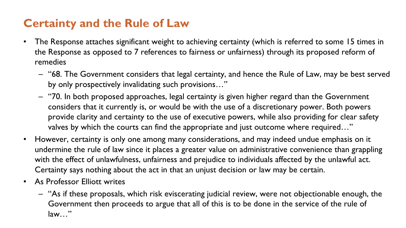### **Certainty and the Rule of Law**

- The Response attaches significant weight to achieving certainty (which is referred to some 15 times in the Response as opposed to 7 references to fairness or unfairness) through its proposed reform of remedies
	- "68. The Government considers that legal certainty, and hence the Rule of Law, may be best served by only prospectively invalidating such provisions…"
	- "70. In both proposed approaches, legal certainty is given higher regard than the Government considers that it currently is, or would be with the use of a discretionary power. Both powers provide clarity and certainty to the use of executive powers, while also providing for clear safety valves by which the courts can find the appropriate and just outcome where required…"
- However, certainty is only one among many considerations, and may indeed undue emphasis on it undermine the rule of law since it places a greater value on administrative convenience than grappling with the effect of unlawfulness, unfairness and prejudice to individuals affected by the unlawful act. Certainty says nothing about the act in that an unjust decision or law may be certain.
- As Professor Elliott writes
	- "As if these proposals, which risk eviscerating judicial review, were not objectionable enough, the Government then proceeds to argue that all of this is to be done in the service of the rule of law…"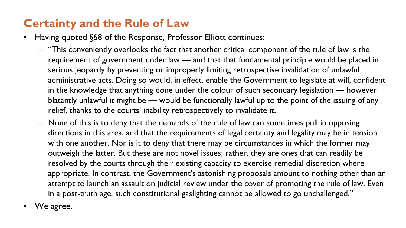### **Certainty and the Rule of Law**

- Having quoted §68 of the Response, Professor Elliott continues:
	- "This conveniently overlooks the fact that another critical component of the rule of law is the requirement of government under law — and that that fundamental principle would be placed in serious jeopardy by preventing or improperly limiting retrospective invalidation of unlawful administrative acts. Doing so would, in effect, enable the Government to legislate at will, confident in the knowledge that anything done under the colour of such secondary legislation — however blatantly unlawful it might be — would be functionally lawful up to the point of the issuing of any relief, thanks to the courts' inability retrospectively to invalidate it.
	- None of this is to deny that the demands of the rule of law can sometimes pull in opposing directions in this area, and that the requirements of legal certainty and legality may be in tension with one another. Nor is it to deny that there may be circumstances in which the former may outweigh the latter. But these are not novel issues; rather, they are ones that can readily be resolved by the courts through their existing capacity to exercise remedial discretion where appropriate. In contrast, the Government's astonishing proposals amount to nothing other than an attempt to launch an assault on judicial review under the cover of promoting the rule of law. Even in a post-truth age, such constitutional gaslighting cannot be allowed to go unchallenged."
- We agree.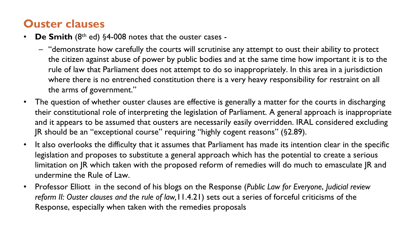#### **Ouster clauses**

- **De Smith** (8th ed) §4-008 notes that the ouster cases
	- "demonstrate how carefully the courts will scrutinise any attempt to oust their ability to protect the citizen against abuse of power by public bodies and at the same time how important it is to the rule of law that Parliament does not attempt to do so inappropriately. In this area in a jurisdiction where there is no entrenched constitution there is a very heavy responsibility for restraint on all the arms of government."
- The question of whether ouster clauses are effective is generally a matter for the courts in discharging their constitutional role of interpreting the legislation of Parliament. A general approach is inappropriate and it appears to be assumed that ousters are necessarily easily overridden. IRAL considered excluding JR should be an "exceptional course" requiring "highly cogent reasons" (§2.89).
- It also overlooks the difficulty that it assumes that Parliament has made its intention clear in the specific legislation and proposes to substitute a general approach which has the potential to create a serious limitation on JR which taken with the proposed reform of remedies will do much to emasculate JR and undermine the Rule of Law.
- Professor Elliott in the second of his blogs on the Response (*Public Law for Everyone*, *Judicial review reform II: Ouster clauses and the rule of law,*11.4.21) sets out a series of forceful criticisms of the Response, especially when taken with the remedies proposals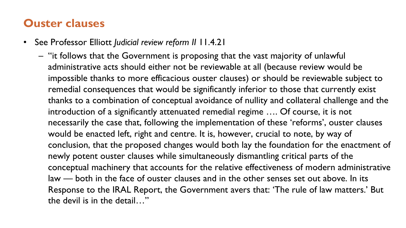#### **Ouster clauses**

- See Professor Elliott *Judicial review reform II* 11.4.21
	- "it follows that the Government is proposing that the vast majority of unlawful administrative acts should either not be reviewable at all (because review would be impossible thanks to more efficacious ouster clauses) or should be reviewable subject to remedial consequences that would be significantly inferior to those that currently exist thanks to a combination of conceptual avoidance of nullity and collateral challenge and the introduction of a significantly attenuated remedial regime …. Of course, it is not necessarily the case that, following the implementation of these 'reforms', ouster clauses would be enacted left, right and centre. It is, however, crucial to note, by way of conclusion, that the proposed changes would both lay the foundation for the enactment of newly potent ouster clauses while simultaneously dismantling critical parts of the conceptual machinery that accounts for the relative effectiveness of modern administrative law — both in the face of ouster clauses and in the other senses set out above. In its Response to the IRAL Report, the Government avers that: 'The rule of law matters.' But the devil is in the detail…"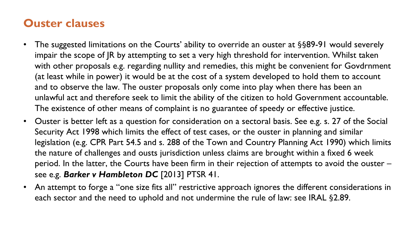#### **Ouster clauses**

- The suggested limitations on the Courts' ability to override an ouster at §§89-91 would severely impair the scope of JR by attempting to set a very high threshold for intervention. Whilst taken with other proposals e.g. regarding nullity and remedies, this might be convenient for Govdrnment (at least while in power) it would be at the cost of a system developed to hold them to account and to observe the law. The ouster proposals only come into play when there has been an unlawful act and therefore seek to limit the ability of the citizen to hold Government accountable. The existence of other means of complaint is no guarantee of speedy or effective justice.
- Ouster is better left as a question for consideration on a sectoral basis. See e.g. s. 27 of the Social Security Act 1998 which limits the effect of test cases, or the ouster in planning and similar legislation (e.g. CPR Part 54.5 and s. 288 of the Town and Country Planning Act 1990) which limits the nature of challenges and ousts jurisdiction unless claims are brought within a fixed 6 week period. In the latter, the Courts have been firm in their rejection of attempts to avoid the ouster – see e.g. *Barker v Hambleton DC* [2013] PTSR 41.
- An attempt to forge a "one size fits all" restrictive approach ignores the different considerations in each sector and the need to uphold and not undermine the rule of law: see IRAL §2.89.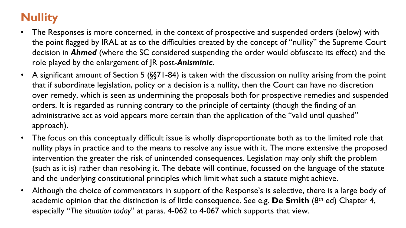## **Nullity**

- The Responses is more concerned, in the context of prospective and suspended orders (below) with the point flagged by IRAL at as to the difficulties created by the concept of "nullity" the Supreme Court decision in *Ahmed* (where the SC considered suspending the order would obfuscate its effect) and the role played by the enlargement of JR post-*Anisminic.*
- A significant amount of Section 5 (§§71-84) is taken with the discussion on nullity arising from the point that if subordinate legislation, policy or a decision is a nullity, then the Court can have no discretion over remedy, which is seen as undermining the proposals both for prospective remedies and suspended orders. It is regarded as running contrary to the principle of certainty (though the finding of an administrative act as void appears more certain than the application of the "valid until quashed" approach).
- The focus on this conceptually difficult issue is wholly disproportionate both as to the limited role that nullity plays in practice and to the means to resolve any issue with it. The more extensive the proposed intervention the greater the risk of unintended consequences. Legislation may only shift the problem (such as it is) rather than resolving it. The debate will continue, focussed on the language of the statute and the underlying constitutional principles which limit what such a statute might achieve.
- Although the choice of commentators in support of the Response's is selective, there is a large body of academic opinion that the distinction is of little consequence. See e.g. **De Smith** (8th ed) Chapter 4, especially "*The situation today*" at paras. 4-062 to 4-067 which supports that view.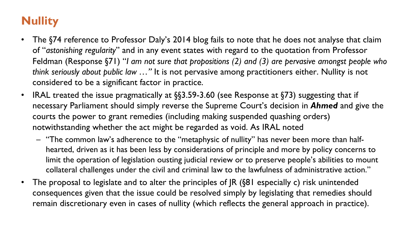### **Nullity**

- The §74 reference to Professor Daly's 2014 blog fails to note that he does not analyse that claim of "*astonishing regularity*" and in any event states with regard to the quotation from Professor Feldman (Response §71) "*I am not sure that propositions (2) and (3) are pervasive amongst people who think seriously about public law …"* It is not pervasive among practitioners either. Nullity is not considered to be a significant factor in practice.
- IRAL treated the issue pragmatically at §§3.59-3.60 (see Response at §73) suggesting that if necessary Parliament should simply reverse the Supreme Court's decision in *Ahmed* and give the courts the power to grant remedies (including making suspended quashing orders) notwithstanding whether the act might be regarded as void. As IRAL noted
	- "The common law's adherence to the "metaphysic of nullity" has never been more than halfhearted, driven as it has been less by considerations of principle and more by policy concerns to limit the operation of legislation ousting judicial review or to preserve people's abilities to mount collateral challenges under the civil and criminal law to the lawfulness of administrative action."
- The proposal to legislate and to alter the principles of JR (§81 especially c) risk unintended consequences given that the issue could be resolved simply by legislating that remedies should remain discretionary even in cases of nullity (which reflects the general approach in practice).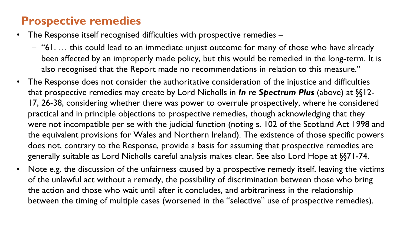### **Prospective remedies**

- The Response itself recognised difficulties with prospective remedies -
	- "61. … this could lead to an immediate unjust outcome for many of those who have already been affected by an improperly made policy, but this would be remedied in the long-term. It is also recognised that the Report made no recommendations in relation to this measure."
- The Response does not consider the authoritative consideration of the injustice and difficulties that prospective remedies may create by Lord Nicholls in *In re Spectrum Plus* (above) at §§12- 17, 26-38, considering whether there was power to overrule prospectively, where he considered practical and in principle objections to prospective remedies, though acknowledging that they were not incompatible per se with the judicial function (noting s. 102 of the Scotland Act 1998 and the equivalent provisions for Wales and Northern Ireland). The existence of those specific powers does not, contrary to the Response, provide a basis for assuming that prospective remedies are generally suitable as Lord Nicholls careful analysis makes clear. See also Lord Hope at §§71-74.
- Note e.g. the discussion of the unfairness caused by a prospective remedy itself, leaving the victims of the unlawful act without a remedy, the possibility of discrimination between those who bring the action and those who wait until after it concludes, and arbitrariness in the relationship between the timing of multiple cases (worsened in the "selective" use of prospective remedies).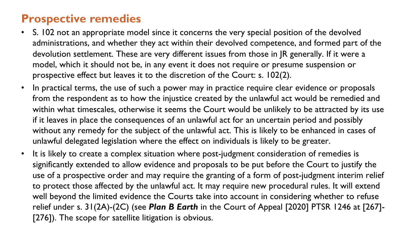### **Prospective remedies**

- S. 102 not an appropriate model since it concerns the very special position of the devolved administrations, and whether they act within their devolved competence, and formed part of the devolution settlement. These are very different issues from those in JR generally. If it were a model, which it should not be, in any event it does not require or presume suspension or prospective effect but leaves it to the discretion of the Court: s. 102(2).
- In practical terms, the use of such a power may in practice require clear evidence or proposals from the respondent as to how the injustice created by the unlawful act would be remedied and within what timescales, otherwise it seems the Court would be unlikely to be attracted by its use if it leaves in place the consequences of an unlawful act for an uncertain period and possibly without any remedy for the subject of the unlawful act. This is likely to be enhanced in cases of unlawful delegated legislation where the effect on individuals is likely to be greater.
- It is likely to create a complex situation where post-judgment consideration of remedies is significantly extended to allow evidence and proposals to be put before the Court to justify the use of a prospective order and may require the granting of a form of post-judgment interim relief to protect those affected by the unlawful act. It may require new procedural rules. It will extend well beyond the limited evidence the Courts take into account in considering whether to refuse relief under s. 31(2A)-(2C) (see *Plan B Earth* in the Court of Appeal [2020] PTSR 1246 at [267]- [276]). The scope for satellite litigation is obvious.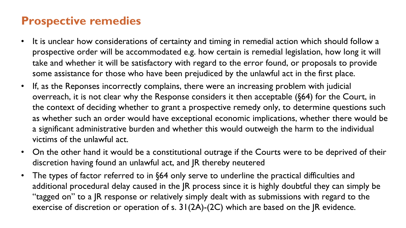### **Prospective remedies**

- It is unclear how considerations of certainty and timing in remedial action which should follow a prospective order will be accommodated e.g. how certain is remedial legislation, how long it will take and whether it will be satisfactory with regard to the error found, or proposals to provide some assistance for those who have been prejudiced by the unlawful act in the first place.
- If, as the Reponses incorrectly complains, there were an increasing problem with judicial overreach, it is not clear why the Response considers it then acceptable (§64) for the Court, in the context of deciding whether to grant a prospective remedy only, to determine questions such as whether such an order would have exceptional economic implications, whether there would be a significant administrative burden and whether this would outweigh the harm to the individual victims of the unlawful act.
- On the other hand it would be a constitutional outrage if the Courts were to be deprived of their discretion having found an unlawful act, and JR thereby neutered
- The types of factor referred to in §64 only serve to underline the practical difficulties and additional procedural delay caused in the JR process since it is highly doubtful they can simply be "tagged on" to a JR response or relatively simply dealt with as submissions with regard to the exercise of discretion or operation of s. 31(2A)-(2C) which are based on the JR evidence.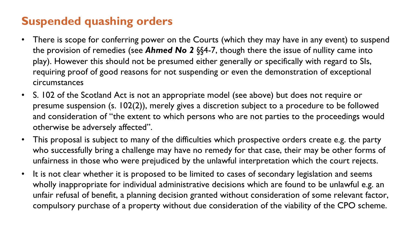### **Suspended quashing orders**

- There is scope for conferring power on the Courts (which they may have in any event) to suspend the provision of remedies (see *Ahmed No 2* §§4-7, though there the issue of nullity came into play). However this should not be presumed either generally or specifically with regard to SIs, requiring proof of good reasons for not suspending or even the demonstration of exceptional circumstances
- S. 102 of the Scotland Act is not an appropriate model (see above) but does not require or presume suspension (s. 102(2)), merely gives a discretion subject to a procedure to be followed and consideration of "the extent to which persons who are not parties to the proceedings would otherwise be adversely affected".
- This proposal is subject to many of the difficulties which prospective orders create e.g. the party who successfully bring a challenge may have no remedy for that case, their may be other forms of unfairness in those who were prejudiced by the unlawful interpretation which the court rejects.
- It is not clear whether it is proposed to be limited to cases of secondary legislation and seems wholly inappropriate for individual administrative decisions which are found to be unlawful e.g. an unfair refusal of benefit, a planning decision granted without consideration of some relevant factor, compulsory purchase of a property without due consideration of the viability of the CPO scheme.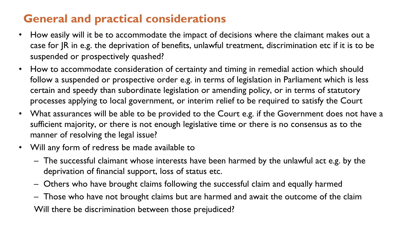### **General and practical considerations**

- How easily will it be to accommodate the impact of decisions where the claimant makes out a case for JR in e.g. the deprivation of benefits, unlawful treatment, discrimination etc if it is to be suspended or prospectively quashed?
- How to accommodate consideration of certainty and timing in remedial action which should follow a suspended or prospective order e.g. in terms of legislation in Parliament which is less certain and speedy than subordinate legislation or amending policy, or in terms of statutory processes applying to local government, or interim relief to be required to satisfy the Court
- What assurances will be able to be provided to the Court e.g. if the Government does not have a sufficient majority, or there is not enough legislative time or there is no consensus as to the manner of resolving the legal issue?
- Will any form of redress be made available to
	- The successful claimant whose interests have been harmed by the unlawful act e.g. by the deprivation of financial support, loss of status etc.
	- Others who have brought claims following the successful claim and equally harmed
	- Those who have not brought claims but are harmed and await the outcome of the claim Will there be discrimination between those prejudiced?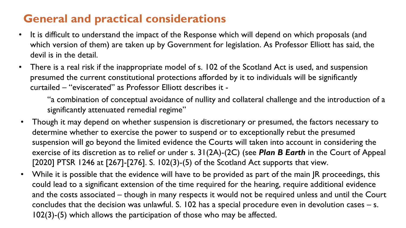### **General and practical considerations**

- It is difficult to understand the impact of the Response which will depend on which proposals (and which version of them) are taken up by Government for legislation. As Professor Elliott has said, the devil is in the detail.
- There is a real risk if the inappropriate model of s. 102 of the Scotland Act is used, and suspension presumed the current constitutional protections afforded by it to individuals will be significantly curtailed – "eviscerated" as Professor Elliott describes it -

"a combination of conceptual avoidance of nullity and collateral challenge and the introduction of a significantly attenuated remedial regime"

- Though it may depend on whether suspension is discretionary or presumed, the factors necessary to determine whether to exercise the power to suspend or to exceptionally rebut the presumed suspension will go beyond the limited evidence the Courts will taken into account in considering the exercise of its discretion as to relief or under s. 31(2A)-(2C) (see *Plan B Earth* in the Court of Appeal [2020] PTSR 1246 at [267]-[276]. S. 102(3)-(5) of the Scotland Act supports that view.
- While it is possible that the evidence will have to be provided as part of the main JR proceedings, this could lead to a significant extension of the time required for the hearing, require additional evidence and the costs associated – though in many respects it would not be required unless and until the Court concludes that the decision was unlawful. S. 102 has a special procedure even in devolution cases – s. 102(3)-(5) which allows the participation of those who may be affected.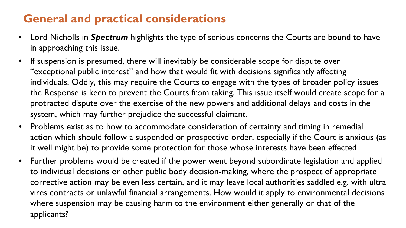### **General and practical considerations**

- Lord Nicholls in *Spectrum* highlights the type of serious concerns the Courts are bound to have in approaching this issue.
- If suspension is presumed, there will inevitably be considerable scope for dispute over "exceptional public interest" and how that would fit with decisions significantly affecting individuals. Oddly, this may require the Courts to engage with the types of broader policy issues the Response is keen to prevent the Courts from taking. This issue itself would create scope for a protracted dispute over the exercise of the new powers and additional delays and costs in the system, which may further prejudice the successful claimant.
- Problems exist as to how to accommodate consideration of certainty and timing in remedial action which should follow a suspended or prospective order, especially if the Court is anxious (as it well might be) to provide some protection for those whose interests have been effected
- Further problems would be created if the power went beyond subordinate legislation and applied to individual decisions or other public body decision-making, where the prospect of appropriate corrective action may be even less certain, and it may leave local authorities saddled e.g. with ultra vires contracts or unlawful financial arrangements. How would it apply to environmental decisions where suspension may be causing harm to the environment either generally or that of the applicants?